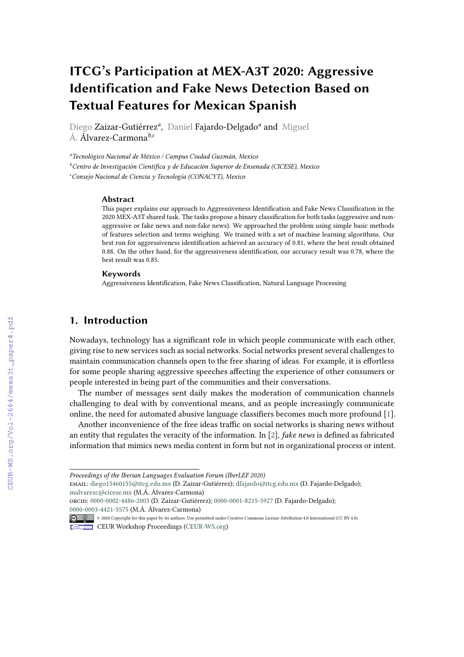# **ITCG's Participation at MEX-A3T 2020: Aggressive Identification and Fake News Detection Based on Textual Features for Mexican Spanish**

Diego Zaizar-Gutiérrez<sup>a</sup>, Daniel Fajardo-Delgado<sup>a</sup> and Miguel Á. Álvarez-Carmona*b,c*

*<sup>a</sup>Tecnológico Nacional de México / Campus Ciudad Guzmán, Mexico*

*<sup>b</sup>Centro de Investigación Científica y de Educación Superior de Ensenada (CICESE), Mexico*

*<sup>c</sup>Consejo Nacional de Ciencia y Tecnología (CONACYT), Mexico*

#### **Abstract**

This paper explains our approach to Aggressiveness Identification and Fake News Classification in the 2020 MEX-A3T shared task. The tasks propose a binary classification for both tasks (aggressive and nonaggressive or fake news and non-fake news). We approached the problem using simple basic methods of features selection and terms weighing. We trained with a set of machine learning algorithms. Our best run for aggressiveness identification achieved an accuracy of 0.81, where the best result obtained 0.88. On the other hand, for the aggressiveness identification, our accuracy result was 0.78, where the best result was 0.85.

#### **Keywords**

Aggressiveness Identification, Fake News Classification, Natural Language Processing

# **1. Introduction**

Nowadays, technology has a significant role in which people communicate with each other, giving rise to new services such as social networks. Social networks present several challenges to maintain communication channels open to the free sharing of ideas. For example, it is effortless for some people sharing aggressive speeches affecting the experience of other consumers or people interested in being part of the communities and their conversations.

The number of messages sent daily makes the moderation of communication channels challenging to deal with by conventional means, and as people increasingly communicate online, the need for automated abusive language classifiers becomes much more profound [\[1\]](#page--1-0).

Another inconvenience of the free ideas traffic on social networks is sharing news without an entity that regulates the veracity of the information. In [\[2\]](#page--1-1), *fake news* is defined as fabricated information that mimics news media content in form but not in organizational process or intent.

email: [diego15460155@itcg.edu.mx](mailto:diego15460155@itcg.edu.mx) (D. Zaizar-Gutiérrez); [dfajardo@itcg.edu.mx](mailto:dfajardo@itcg.edu.mx) (D. Fajardo-Delgado); [malvarezc@cicese.mx](mailto:malvarezc@cicese.mx) (M.Á. Álvarez-Carmona)

*Proceedings of the Iberian Languages Evaluation Forum (IberLEF 2020)*

orcid: [0000-0002-4486-2003](https://orcid.org/0000-0002-4486-2003) (D. Zaizar-Gutiérrez); [0000-0001-8215-5927](https://orcid.org/0000-0001-8215-5927) (D. Fajardo-Delgado); [0000-0003-4421-5575](https://orcid.org/0000-0003-4421-5575) (M.Á. Álvarez-Carmona)

<sup>©</sup> 2020 Copyright for this paper by its authors. Use permitted under Creative Commons License Attribution 4.0 International (CC BY 4.0).

CEUR Workshop [Proceedings](http://ceur-ws.org) [\(CEUR-WS.org\)](http://ceur-ws.org)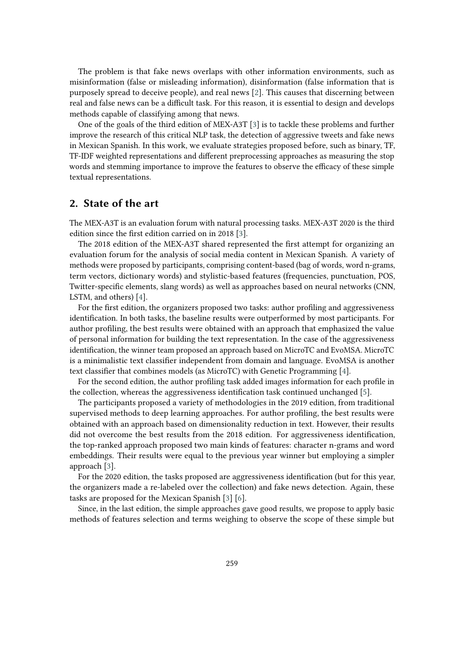The problem is that fake news overlaps with other information environments, such as misinformation (false or misleading information), disinformation (false information that is purposely spread to deceive people), and real news [\[2\]](#page-4-0). This causes that discerning between real and false news can be a difficult task. For this reason, it is essential to design and develops methods capable of classifying among that news.

One of the goals of the third edition of MEX-A3T [\[3\]](#page-4-1) is to tackle these problems and further improve the research of this critical NLP task, the detection of aggressive tweets and fake news in Mexican Spanish. In this work, we evaluate strategies proposed before, such as binary, TF, TF-IDF weighted representations and different preprocessing approaches as measuring the stop words and stemming importance to improve the features to observe the efficacy of these simple textual representations.

# **2. State of the art**

The MEX-A3T is an evaluation forum with natural processing tasks. MEX-A3T 2020 is the third edition since the first edition carried on in 2018 [\[3\]](#page-4-1).

The 2018 edition of the MEX-A3T shared represented the first attempt for organizing an evaluation forum for the analysis of social media content in Mexican Spanish. A variety of methods were proposed by participants, comprising content-based (bag of words, word n-grams, term vectors, dictionary words) and stylistic-based features (frequencies, punctuation, POS, Twitter-specific elements, slang words) as well as approaches based on neural networks (CNN, LSTM, and others) [\[4\]](#page-4-2).

For the first edition, the organizers proposed two tasks: author profiling and aggressiveness identification. In both tasks, the baseline results were outperformed by most participants. For author profiling, the best results were obtained with an approach that emphasized the value of personal information for building the text representation. In the case of the aggressiveness identification, the winner team proposed an approach based on MicroTC and EvoMSA. MicroTC is a minimalistic text classifier independent from domain and language. EvoMSA is another text classifier that combines models (as MicroTC) with Genetic Programming [\[4\]](#page-4-2).

For the second edition, the author profiling task added images information for each profile in the collection, whereas the aggressiveness identification task continued unchanged [\[5\]](#page-4-3).

The participants proposed a variety of methodologies in the 2019 edition, from traditional supervised methods to deep learning approaches. For author profiling, the best results were obtained with an approach based on dimensionality reduction in text. However, their results did not overcome the best results from the 2018 edition. For aggressiveness identification, the top-ranked approach proposed two main kinds of features: character n-grams and word embeddings. Their results were equal to the previous year winner but employing a simpler approach [\[3\]](#page-4-1).

For the 2020 edition, the tasks proposed are aggressiveness identification (but for this year, the organizers made a re-labeled over the collection) and fake news detection. Again, these tasks are proposed for the Mexican Spanish [\[3\]](#page-4-1) [\[6\]](#page-4-4).

Since, in the last edition, the simple approaches gave good results, we propose to apply basic methods of features selection and terms weighing to observe the scope of these simple but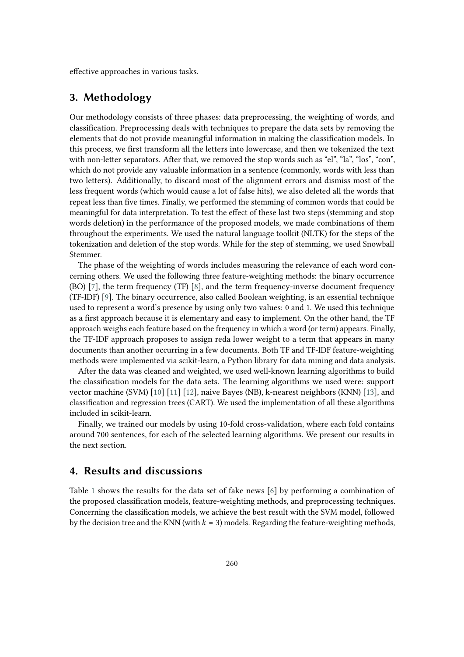effective approaches in various tasks.

## **3. Methodology**

Our methodology consists of three phases: data preprocessing, the weighting of words, and classification. Preprocessing deals with techniques to prepare the data sets by removing the elements that do not provide meaningful information in making the classification models. In this process, we first transform all the letters into lowercase, and then we tokenized the text with non-letter separators. After that, we removed the stop words such as "el", "la", "los", "con", which do not provide any valuable information in a sentence (commonly, words with less than two letters). Additionally, to discard most of the alignment errors and dismiss most of the less frequent words (which would cause a lot of false hits), we also deleted all the words that repeat less than five times. Finally, we performed the stemming of common words that could be meaningful for data interpretation. To test the effect of these last two steps (stemming and stop words deletion) in the performance of the proposed models, we made combinations of them throughout the experiments. We used the natural language toolkit (NLTK) for the steps of the tokenization and deletion of the stop words. While for the step of stemming, we used Snowball Stemmer.

The phase of the weighting of words includes measuring the relevance of each word concerning others. We used the following three feature-weighting methods: the binary occurrence (BO) [\[7\]](#page-4-5), the term frequency (TF) [\[8\]](#page-4-6), and the term frequency-inverse document frequency (TF-IDF) [\[9\]](#page-4-7). The binary occurrence, also called Boolean weighting, is an essential technique used to represent a word's presence by using only two values: 0 and 1. We used this technique as a first approach because it is elementary and easy to implement. On the other hand, the TF approach weighs each feature based on the frequency in which a word (or term) appears. Finally, the TF-IDF approach proposes to assign reda lower weight to a term that appears in many documents than another occurring in a few documents. Both TF and TF-IDF feature-weighting methods were implemented via scikit-learn, a Python library for data mining and data analysis.

After the data was cleaned and weighted, we used well-known learning algorithms to build the classification models for the data sets. The learning algorithms we used were: support vector machine (SVM) [\[10\]](#page-4-8) [\[11\]](#page-4-9) [\[12\]](#page-4-10), naive Bayes (NB), k-nearest neighbors (KNN) [\[13\]](#page-4-11), and classification and regression trees (CART). We used the implementation of all these algorithms included in scikit-learn.

Finally, we trained our models by using 10-fold cross-validation, where each fold contains around 700 sentences, for each of the selected learning algorithms. We present our results in the next section.

## **4. Results and discussions**

Table [1](#page-5-0) shows the results for the data set of fake news [\[6\]](#page-4-4) by performing a combination of the proposed classification models, feature-weighting methods, and preprocessing techniques. Concerning the classification models, we achieve the best result with the SVM model, followed by the decision tree and the KNN (with  $k = 3$ ) models. Regarding the feature-weighting methods,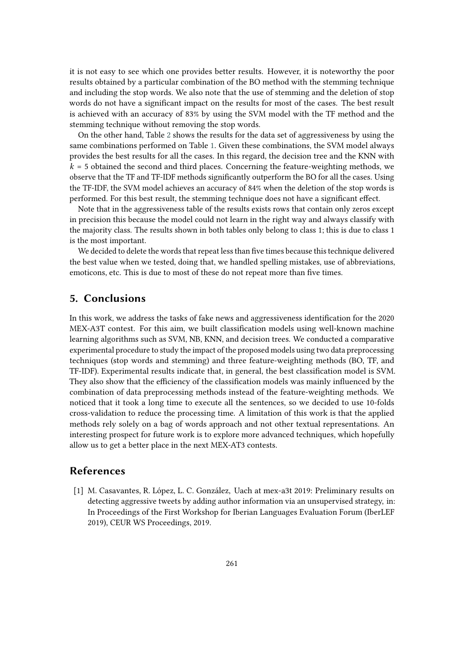it is not easy to see which one provides better results. However, it is noteworthy the poor results obtained by a particular combination of the BO method with the stemming technique and including the stop words. We also note that the use of stemming and the deletion of stop words do not have a significant impact on the results for most of the cases. The best result is achieved with an accuracy of 83% by using the SVM model with the TF method and the stemming technique without removing the stop words.

On the other hand, Table [2](#page-6-0) shows the results for the data set of aggressiveness by using the same combinations performed on Table [1.](#page-5-0) Given these combinations, the SVM model always provides the best results for all the cases. In this regard, the decision tree and the KNN with  $k = 5$  obtained the second and third places. Concerning the feature-weighting methods, we observe that the TF and TF-IDF methods significantly outperform the BO for all the cases. Using the TF-IDF, the SVM model achieves an accuracy of 84% when the deletion of the stop words is performed. For this best result, the stemming technique does not have a significant effect.

Note that in the aggressiveness table of the results exists rows that contain only zeros except in precision this because the model could not learn in the right way and always classify with the majority class. The results shown in both tables only belong to class 1; this is due to class 1 is the most important.

We decided to delete the words that repeat less than five times because this technique delivered the best value when we tested, doing that, we handled spelling mistakes, use of abbreviations, emoticons, etc. This is due to most of these do not repeat more than five times.

### **5. Conclusions**

In this work, we address the tasks of fake news and aggressiveness identification for the 2020 MEX-A3T contest. For this aim, we built classification models using well-known machine learning algorithms such as SVM, NB, KNN, and decision trees. We conducted a comparative experimental procedure to study the impact of the proposed models using two data preprocessing techniques (stop words and stemming) and three feature-weighting methods (BO, TF, and TF-IDF). Experimental results indicate that, in general, the best classification model is SVM. They also show that the efficiency of the classification models was mainly influenced by the combination of data preprocessing methods instead of the feature-weighting methods. We noticed that it took a long time to execute all the sentences, so we decided to use 10-folds cross-validation to reduce the processing time. A limitation of this work is that the applied methods rely solely on a bag of words approach and not other textual representations. An interesting prospect for future work is to explore more advanced techniques, which hopefully allow us to get a better place in the next MEX-AT3 contests.

#### **References**

[1] M. Casavantes, R. López, L. C. González, Uach at mex-a3t 2019: Preliminary results on detecting aggressive tweets by adding author information via an unsupervised strategy, in: In Proceedings of the First Workshop for Iberian Languages Evaluation Forum (IberLEF 2019), CEUR WS Proceedings, 2019.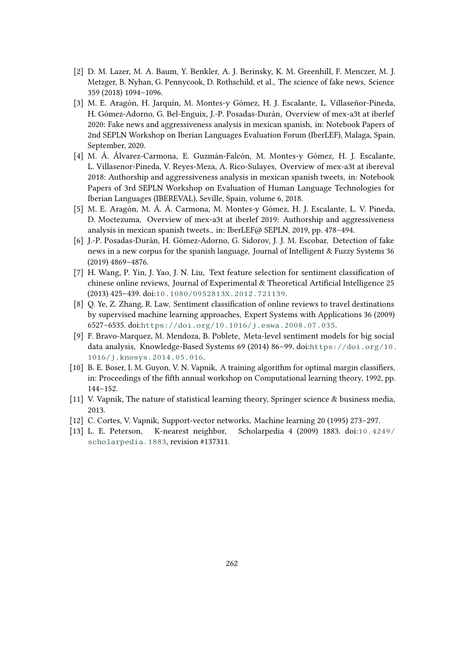- <span id="page-4-0"></span>[2] D. M. Lazer, M. A. Baum, Y. Benkler, A. J. Berinsky, K. M. Greenhill, F. Menczer, M. J. Metzger, B. Nyhan, G. Pennycook, D. Rothschild, et al., The science of fake news, Science 359 (2018) 1094–1096.
- <span id="page-4-1"></span>[3] M. E. Aragón, H. Jarquín, M. Montes-y Gómez, H. J. Escalante, L. Villaseñor-Pineda, H. Gómez-Adorno, G. Bel-Enguix, J.-P. Posadas-Durán, Overview of mex-a3t at iberlef 2020: Fake news and aggressiveness analysis in mexican spanish, in: Notebook Papers of 2nd SEPLN Workshop on Iberian Languages Evaluation Forum (IberLEF), Malaga, Spain, September, 2020.
- <span id="page-4-2"></span>[4] M. Á. Álvarez-Carmona, E. Guzmán-Falcón, M. Montes-y Gómez, H. J. Escalante, L. Villasenor-Pineda, V. Reyes-Meza, A. Rico-Sulayes, Overview of mex-a3t at ibereval 2018: Authorship and aggressiveness analysis in mexican spanish tweets, in: Notebook Papers of 3rd SEPLN Workshop on Evaluation of Human Language Technologies for Iberian Languages (IBEREVAL), Seville, Spain, volume 6, 2018.
- <span id="page-4-3"></span>[5] M. E. Aragón, M. Á. Á. Carmona, M. Montes-y Gómez, H. J. Escalante, L. V. Pineda, D. Moctezuma, Overview of mex-a3t at iberlef 2019: Authorship and aggressiveness analysis in mexican spanish tweets., in: IberLEF@ SEPLN, 2019, pp. 478–494.
- <span id="page-4-4"></span>[6] J.-P. Posadas-Durán, H. Gómez-Adorno, G. Sidorov, J. J. M. Escobar, Detection of fake news in a new corpus for the spanish language, Journal of Intelligent & Fuzzy Systems 36 (2019) 4869–4876.
- <span id="page-4-5"></span>[7] H. Wang, P. Yin, J. Yao, J. N. Liu, Text feature selection for sentiment classification of chinese online reviews, Journal of Experimental & Theoretical Artificial Intelligence 25 (2013) 425–439. doi:[10.1080/0952813X.2012.721139](http://dx.doi.org/10.1080/0952813X.2012.721139).
- <span id="page-4-6"></span>[8] Q. Ye, Z. Zhang, R. Law, Sentiment classification of online reviews to travel destinations by supervised machine learning approaches, Expert Systems with Applications 36 (2009) 6527–6535. doi:[https://doi.org/10.1016/j.eswa.2008.07.035](http://dx.doi.org/https://doi.org/10.1016/j.eswa.2008.07.035).
- <span id="page-4-7"></span>[9] F. Bravo-Marquez, M. Mendoza, B. Poblete, Meta-level sentiment models for big social data analysis, Knowledge-Based Systems 69 (2014) 86-99. doi:[https://doi.org/10.](http://dx.doi.org/https://doi.org/10.1016/j.knosys.2014.05.016) [1016/j.knosys.2014.05.016](http://dx.doi.org/https://doi.org/10.1016/j.knosys.2014.05.016).
- <span id="page-4-8"></span>[10] B. E. Boser, I. M. Guyon, V. N. Vapnik, A training algorithm for optimal margin classifiers, in: Proceedings of the fifth annual workshop on Computational learning theory, 1992, pp. 144–152.
- <span id="page-4-9"></span>[11] V. Vapnik, The nature of statistical learning theory, Springer science & business media, 2013.
- <span id="page-4-10"></span>[12] C. Cortes, V. Vapnik, Support-vector networks, Machine learning 20 (1995) 273–297.
- <span id="page-4-11"></span>[13] L. E. Peterson, K-nearest neighbor, Scholarpedia 4 (2009) 1883. doi:[10.4249/](http://dx.doi.org/10.4249/scholarpedia.1883) [scholarpedia.1883](http://dx.doi.org/10.4249/scholarpedia.1883), revision #137311.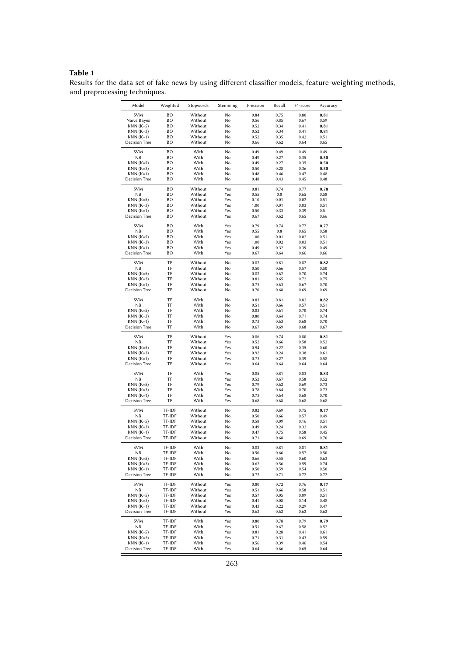#### **Table 1**

<span id="page-5-0"></span>Results for the data set of fake news by using different classifier models, feature-weighting methods, and preprocessing techniques.

| Model                      | Weighted | Stopwords          | Stemming   | Precision    | Recall       | F1-score     | Accuracy     |
|----------------------------|----------|--------------------|------------|--------------|--------------|--------------|--------------|
| <b>SVM</b>                 | BО       | Without            | No         | 0.84         | 0.75         | 0.80         | 0.81         |
| Naive Bayes                | BO       | Without            | No         | 0.56         | 0.85         | 0.67         | 0.59         |
| KNN (K=5)                  | BО       | Without            | No         | 0.52         | 0.34         | 0.41         | 0.81         |
| $KNN (K=3)$                | BО       | Without            | No         | 0.52         | 0.34         | 0.41         | 0.81         |
| $KNN(K=1)$                 | BO       | Without            | No         | 0.52         | 0.35         | 0.42         | 0.51         |
| <b>Decision Tree</b>       | BO       | Without            | No         | 0.66         | 0.62         | 0.64         | 0.65         |
| <b>SVM</b>                 | BO       | With               | No         | 0.49         | 0.49         | 0.49         | 0.49         |
| NΒ                         | BO       | With               | No         | 0.49         | 0.27         | 0.35         | 0.50         |
| $KNN (K=5)$                | BO       | With               | No         | 0.49         | 0.27         | 0.35         | 0.50         |
| $KNN (K=3)$                | BO       | With               | No         | 0.50         | 0.28         | 0.36         | 0.50         |
| $KNN(K=1)$                 | BO       | With               | No         | 0.48         | 0.46         | 0.47         | 0.48         |
| <b>Decision Tree</b>       | BO       | With               | No         | 0.48         | 0.43         | 0.45         | 0.48         |
| <b>SVM</b>                 | BO       | Without            | Yes        | 0.81         | 0.74         | 0.77         | 0.78         |
| NΒ                         | BO       | Without            | Yes        | 0.55         | $\rm 0.8$    | 0.65         | 0.58         |
| KNN (K=5)                  | BО       | Without            | Yes        | 0.10         | 0.01         | 0.02         | 0.51         |
| $KNN (K=3)$                | BО       | Without            | Yes        | 1.00         | 0.01         | 0.03         | 0.51         |
| $KNN(K=1)$                 | BO       | Without            | Yes        | 0.50         | 0.33         | 0.39         | 0.5          |
| <b>Decision Tree</b>       | BO       | Without            | Yes        | 0.67         | 0.62         | 0.65         | 0.66         |
| <b>SVM</b>                 | BO       | With               | Yes        | 0.79         | 0.74         | 0.77         | 0.77         |
| <b>NB</b>                  | BО       | With               | Yes        | 0.55         | 0.8          | 0.65         | 0.58         |
| $KNN (K=5)$                | BО       | With               | Yes        | 1.00         | 0.01         | 0.02         | 0.51         |
| $KNN (K=3)$                | BО       | With               | Yes        | 1.00         | 0.02         | 0.03         | 0.51         |
| $KNN(K=1)$                 | BО       | With               | Yes        | 0.49         | 0.32         | 0.39         | 0.49         |
| Decision Tree              | BО       | With               | Yes        | 0.67         | 0.64         | 0.66         | 0.66         |
| <b>SVM</b>                 | TF       | Without            | No         | 0.82         | 0.81         | 0.82         | 0.82         |
| <b>NB</b>                  | TF       | Without            | No         | 0.50         | 0.66         | 0.57         | 0.50         |
| KNN (K=5)                  | TF       | Without            | No         | 0.82         | 0.62         | 0.70         | 0.74         |
| $KNN (K=3)$                | TF       | Without            | No         | 0.81         | 0.65         | 0.72         | 0.75         |
| $KNN(K=1)$                 | TF       | Without            | No         | 0.73         | 0.63         | 0.67         | 0.70         |
| <b>Decision Tree</b>       | TF       | Without            | No         | 0.70         | 0.68         | 0.69         | 0.69         |
| <b>SVM</b>                 | TF       | With               | No         |              | 0.81         | 0.82         |              |
| NB                         | TF       | With               | No         | 0.83<br>0.51 | 0.66         | 0.57         | 0.82<br>0.51 |
| $KNN(K=5)$                 | TF       | With               | No         | 0.83         | 0.61         | 0.70         | 0.74         |
| $KNN (K=3)$                | TF       | With               | No         | 0.80         | 0.64         | 0.71         | 0.74         |
| $KNN(K=1)$                 | TF       | With               | No         | 0.73         | 0.63         | 0.68         | 0.70         |
| Decision Tree              | TF       | With               | No         | 0.67         | 0.69         | 0.68         | 0.67         |
|                            |          |                    |            |              |              |              |              |
| <b>SVM</b><br>ΝB           | TF<br>TF | Without<br>Without | Yes<br>Yes | 0.86         | 0.74<br>0.66 | 0.80<br>0.58 | 0.81<br>0.52 |
|                            | TF       |                    | Yes        | 0.52         |              |              |              |
| $KNN (K=5)$<br>$KNN (K=3)$ | TF       | Without<br>Without | Yes        | 0.94<br>0.92 | 0.22<br>0.24 | 0.35<br>0.38 | 0.60<br>0.61 |
| KNN (K=1)                  | TF       | Without            | Yes        | 0.73         | 0.27         | 0.39         | 0.58         |
| Decision Tree              | TF       | Without            | Yes        | 0.64         | 0.64         | 0.64         | 0.64         |
|                            |          |                    |            |              |              |              |              |
| <b>SVM</b><br><b>NB</b>    | TF<br>TF | With<br>With       | Yes<br>Yes | 0.85<br>0.52 | 0.81<br>0.67 | 0.83<br>0.58 | 0.83<br>0.52 |
| $KNN (K=5)$                | TF       | With               | Yes        | 0.79         | 0.62         | 0.69         | 0.73         |
| KNN (K=3)                  | TF       | With               | Yes        | 0.78         | 0.64         | 0.70         | 0.73         |
| $KNN(K=1)$                 | TF       | With               | Yes        | 0.73         | 0.64         | 0.68         | 0.70         |
| <b>Decision Tree</b>       | TF       | With               | Yes        | 0.68         | 0.68         | 0.68         | 0.68         |
| <b>SVM</b>                 | TF-IDF   | Without            | No         |              | 0.69         | 0.75         | 0.77         |
| NΒ                         | TF-IDF   | Without            | No         | 0.82<br>0.50 | 0.66         | 0.57         | 0.49         |
| $KNN (K=5)$                | TF-IDF   | Without            | No         | 0.58         | 0.09         | 0.16         | 0.51         |
| $KNN (K=3)$                | TF-IDF   | Without            | No         | 0.49         | 0.24         | 0.32         | 0.49         |
| KNN (K=1)                  | TF-IDF   | Without            | No         | 0.47         | 0.75         | 0.58         | 0.45         |
| <b>Decision Tree</b>       | TF-IDF   | Without            | No         | 0.71         | 0.68         | 0.69         | 0.70         |
| SVM                        | TF-IDF   | With               | No         | 0.82         | 0.81         | 0.81         | 0.81         |
| NΒ                         | TF-IDF   | With               | No         | 0.50         | 0.66         | 0.57         | 0.50         |
| KNN (K=5)                  | TF-IDF   | With               | No         | 0.66         | 0.55         | 0.60         | 0.63         |
| $KNN (K=3)$                | TF-IDF   | With               | No         | 0.62         | 0.56         | 0.59         | 0.74         |
| $KNN(K=1)$                 | TF-IDF   | With               | No         | 0.50         | 0.59         | 0.54         | 0.50         |
| Decision Tree              | TF-IDF   | With               | No         | 0.72         | 0.71         | 0.72         | 0.72         |
| <b>SVM</b>                 | TF-IDF   | Without            | Yes        | 0.80         | 0.72         | 0.76         | 0.77         |
| NB.                        | TF-IDF   | Without            | Yes        | 0.51         | 0.66         | 0.58         | 0.51         |
| $KNN (K=5)$                | TF-IDF   | Without            | Yes        | 0.57         | 0.05         | 0.09         | 0.51         |
| $KNN (K=3)$                | TF-IDF   | Without            | Yes        | 0.41         | 0.08         | 0.14         | 0.48         |
| $KNN(K=1)$                 | TF-IDF   | Without            | Yes        | 0.43         | 0.22         | 0.29         | 0.47         |
| Decision Tree              | TF-IDF   | Without            | Yes        | 0.62         | 0.62         | 0.62         | 0.62         |
| <b>SVM</b>                 | TF-IDF   | With               | Yes        | 0.80         | 0.78         | 0.79         | 0.79         |
| NB                         | TF-IDF   | With               | Yes        | 0.51         | 0.67         | 0.58         | 0.52         |
| $KNN (K=5)$                | TF-IDF   | With               | Yes        | 0.81         | 0.28         | 0.41         | 0.61         |
| $KNN (K=3)$                | TF-IDF   | With               | Yes        | 0.71         | 0.31         | 0.43         | 0.59         |
| $KNN(K=1)$                 | TF-IDF   | With               | Yes        | 0.56         | 0.39         | 0.46         | 0.54         |
| <b>Decision Tree</b>       | TF-IDF   | With               | Yes        | 0.64         | 0.66         | 0.65         | 0.64         |
|                            |          |                    |            |              |              |              |              |